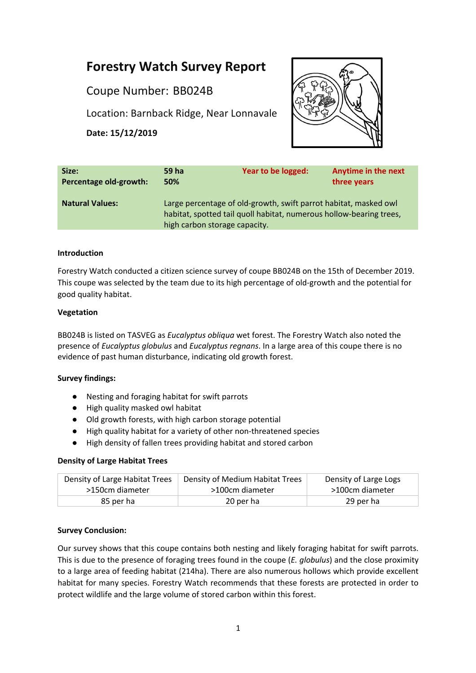# **Forestry Watch Survey Report**

Coupe Number: BB024B

Location: Barnback Ridge, Near Lonnavale

**Date: 15/12/2019**



| Size:                  | 59 ha                                                                                                                                                                    | Year to be logged: | <b>Anytime in the next</b> |
|------------------------|--------------------------------------------------------------------------------------------------------------------------------------------------------------------------|--------------------|----------------------------|
| Percentage old-growth: | 50%                                                                                                                                                                      |                    | three years                |
| <b>Natural Values:</b> | Large percentage of old-growth, swift parrot habitat, masked owl<br>habitat, spotted tail quoll habitat, numerous hollow-bearing trees,<br>high carbon storage capacity. |                    |                            |

#### **Introduction**

Forestry Watch conducted a citizen science survey of coupe BB024B on the 15th of December 2019. This coupe was selected by the team due to its high percentage of old-growth and the potential for good quality habitat.

#### **Vegetation**

BB024B is listed on TASVEG as *Eucalyptus obliqua* wet forest. The Forestry Watch also noted the presence of *Eucalyptus globulus* and *Eucalyptus regnans*. In a large area of this coupe there is no evidence of past human disturbance, indicating old growth forest.

# **Survey findings:**

- Nesting and foraging habitat for swift parrots
- High quality masked owl habitat
- Old growth forests, with high carbon storage potential
- High quality habitat for a variety of other non-threatened species
- High density of fallen trees providing habitat and stored carbon

# **Density of Large Habitat Trees**

| Density of Large Habitat Trees | Density of Medium Habitat Trees | Density of Large Logs |
|--------------------------------|---------------------------------|-----------------------|
| >150cm diameter                | >100cm diameter                 | >100cm diameter       |
| 85 per ha                      | 20 per ha                       | 29 per ha             |

# **Survey Conclusion:**

Our survey shows that this coupe contains both nesting and likely foraging habitat for swift parrots. This is due to the presence of foraging trees found in the coupe (*E. globulus*) and the close proximity to a large area of feeding habitat (214ha). There are also numerous hollows which provide excellent habitat for many species. Forestry Watch recommends that these forests are protected in order to protect wildlife and the large volume of stored carbon within this forest.